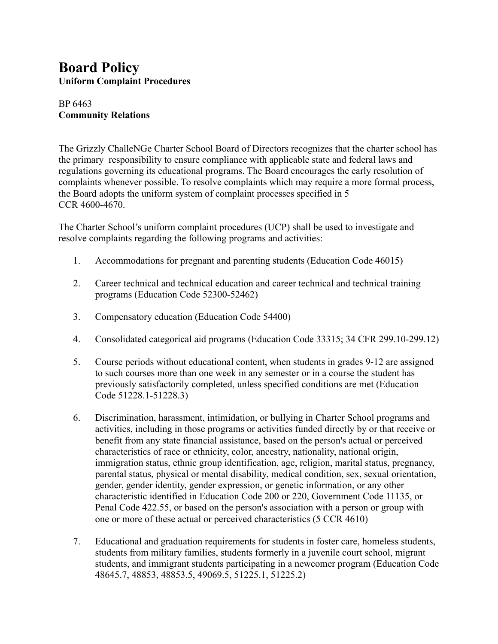## **Board Policy Uniform Complaint Procedures**

## BP 6463 **Community Relations**

The Grizzly ChalleNGe Charter School Board of Directors recognizes that the charter school has the primary responsibility to ensure compliance with applicable state and federal laws and regulations governing its educational programs. The Board encourages the early resolution of complaints whenever possible. To resolve complaints which may require a more formal process, the Board adopts the uniform system of complaint processes specified in 5 CCR 4600-4670.

The Charter School's uniform complaint procedures (UCP) shall be used to investigate and resolve complaints regarding the following programs and activities:

- 1. Accommodations for pregnant and parenting students (Education Code 46015)
- 2. Career technical and technical education and career technical and technical training programs (Education Code 52300-52462)
- 3. Compensatory education (Education Code 54400)
- 4. Consolidated categorical aid programs (Education Code 33315; 34 CFR 299.10-299.12)
- 5. Course periods without educational content, when students in grades 9-12 are assigned to such courses more than one week in any semester or in a course the student has previously satisfactorily completed, unless specified conditions are met (Education Code 51228.1-51228.3)
- 6. Discrimination, harassment, intimidation, or bullying in Charter School programs and activities, including in those programs or activities funded directly by or that receive or benefit from any state financial assistance, based on the person's actual or perceived characteristics of race or ethnicity, color, ancestry, nationality, national origin, immigration status, ethnic group identification, age, religion, marital status, pregnancy, parental status, physical or mental disability, medical condition, sex, sexual orientation, gender, gender identity, gender expression, or genetic information, or any other characteristic identified in Education Code 200 or 220, Government Code 11135, or Penal Code 422.55, or based on the person's association with a person or group with one or more of these actual or perceived characteristics (5 CCR 4610)
- 7. Educational and graduation requirements for students in foster care, homeless students, students from military families, students formerly in a juvenile court school, migrant students, and immigrant students participating in a newcomer program (Education Code 48645.7, 48853, 48853.5, 49069.5, 51225.1, 51225.2)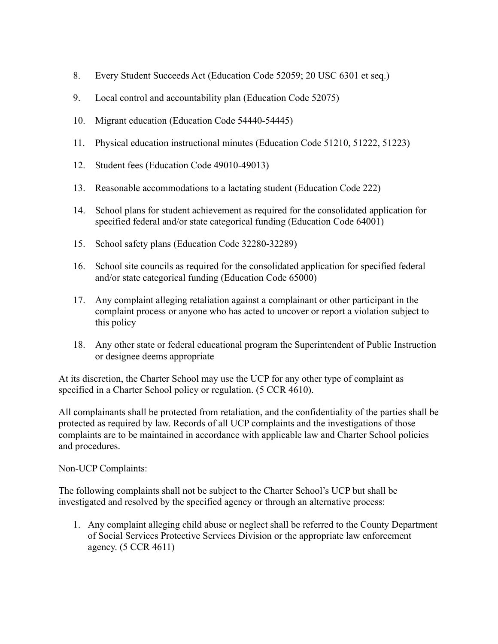- 8. Every Student Succeeds Act (Education Code 52059; 20 USC 6301 et seq.)
- 9. Local control and accountability plan (Education Code 52075)
- 10. Migrant education (Education Code 54440-54445)
- 11. Physical education instructional minutes (Education Code 51210, 51222, 51223)
- 12. Student fees (Education Code 49010-49013)
- 13. Reasonable accommodations to a lactating student (Education Code 222)
- 14. School plans for student achievement as required for the consolidated application for specified federal and/or state categorical funding (Education Code 64001)
- 15. School safety plans (Education Code 32280-32289)
- 16. School site councils as required for the consolidated application for specified federal and/or state categorical funding (Education Code 65000)
- 17. Any complaint alleging retaliation against a complainant or other participant in the complaint process or anyone who has acted to uncover or report a violation subject to this policy
- 18. Any other state or federal educational program the Superintendent of Public Instruction or designee deems appropriate

At its discretion, the Charter School may use the UCP for any other type of complaint as specified in a Charter School policy or regulation. (5 CCR 4610).

All complainants shall be protected from retaliation, and the confidentiality of the parties shall be protected as required by law. Records of all UCP complaints and the investigations of those complaints are to be maintained in accordance with applicable law and Charter School policies and procedures.

Non-UCP Complaints:

The following complaints shall not be subject to the Charter School's UCP but shall be investigated and resolved by the specified agency or through an alternative process:

1. Any complaint alleging child abuse or neglect shall be referred to the County Department of Social Services Protective Services Division or the appropriate law enforcement agency. (5 CCR 4611)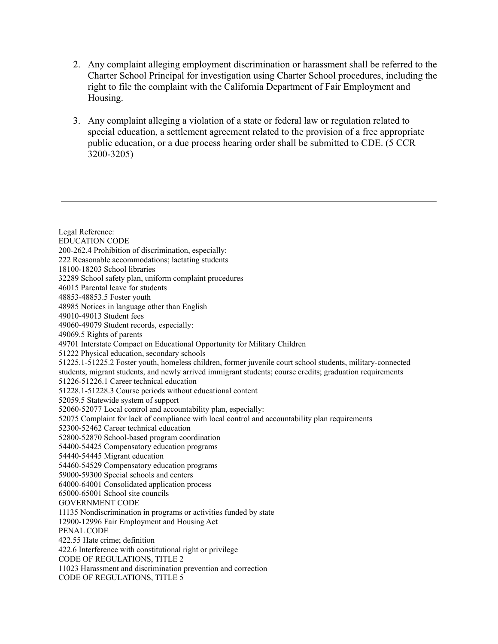- 2. Any complaint alleging employment discrimination or harassment shall be referred to the Charter School Principal for investigation using Charter School procedures, including the right to file the complaint with the California Department of Fair Employment and Housing.
- 3. Any complaint alleging a violation of a state or federal law or regulation related to special education, a settlement agreement related to the provision of a free appropriate public education, or a due process hearing order shall be submitted to CDE. (5 CCR 3200-3205)

Legal Reference: EDUCATION CODE 200-262.4 Prohibition of discrimination, especially: 222 Reasonable accommodations; lactating students 18100-18203 School libraries 32289 School safety plan, uniform complaint procedures 46015 Parental leave for students 48853-48853.5 Foster youth 48985 Notices in language other than English 49010-49013 Student fees 49060-49079 Student records, especially: 49069.5 Rights of parents 49701 Interstate Compact on Educational Opportunity for Military Children 51222 Physical education, secondary schools 51225.1-51225.2 Foster youth, homeless children, former juvenile court school students, military-connected students, migrant students, and newly arrived immigrant students; course credits; graduation requirements 51226-51226.1 Career technical education 51228.1-51228.3 Course periods without educational content 52059.5 Statewide system of support 52060-52077 Local control and accountability plan, especially: 52075 Complaint for lack of compliance with local control and accountability plan requirements 52300-52462 Career technical education 52800-52870 School-based program coordination 54400-54425 Compensatory education programs 54440-54445 Migrant education 54460-54529 Compensatory education programs 59000-59300 Special schools and centers 64000-64001 Consolidated application process 65000-65001 School site councils GOVERNMENT CODE 11135 Nondiscrimination in programs or activities funded by state 12900-12996 Fair Employment and Housing Act PENAL CODE 422.55 Hate crime; definition 422.6 Interference with constitutional right or privilege CODE OF REGULATIONS, TITLE 2 11023 Harassment and discrimination prevention and correction CODE OF REGULATIONS, TITLE 5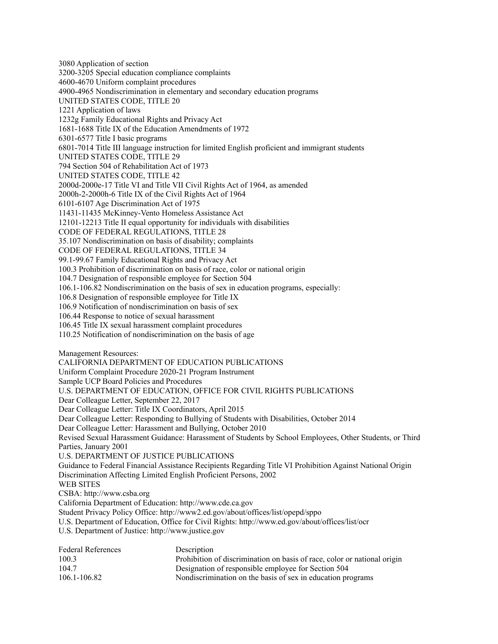3080 Application of section 3200-3205 Special education compliance complaints 4600-4670 Uniform complaint procedures 4900-4965 Nondiscrimination in elementary and secondary education programs UNITED STATES CODE, TITLE 20 1221 Application of laws 1232g Family Educational Rights and Privacy Act 1681-1688 Title IX of the Education Amendments of 1972 6301-6577 Title I basic programs 6801-7014 Title III language instruction for limited English proficient and immigrant students UNITED STATES CODE, TITLE 29 794 Section 504 of Rehabilitation Act of 1973 UNITED STATES CODE, TITLE 42 2000d-2000e-17 Title VI and Title VII Civil Rights Act of 1964, as amended 2000h-2-2000h-6 Title IX of the Civil Rights Act of 1964 6101-6107 Age Discrimination Act of 1975 11431-11435 McKinney-Vento Homeless Assistance Act 12101-12213 Title II equal opportunity for individuals with disabilities CODE OF FEDERAL REGULATIONS, TITLE 28 35.107 Nondiscrimination on basis of disability; complaints CODE OF FEDERAL REGULATIONS, TITLE 34 99.1-99.67 Family Educational Rights and Privacy Act 100.3 Prohibition of discrimination on basis of race, color or national origin 104.7 Designation of responsible employee for Section 504 106.1-106.82 Nondiscrimination on the basis of sex in education programs, especially: 106.8 Designation of responsible employee for Title IX 106.9 Notification of nondiscrimination on basis of sex 106.44 Response to notice of sexual harassment 106.45 Title IX sexual harassment complaint procedures 110.25 Notification of nondiscrimination on the basis of age Management Resources: CALIFORNIA DEPARTMENT OF EDUCATION PUBLICATIONS Uniform Complaint Procedure 2020-21 Program Instrument Sample UCP Board Policies and Procedures U.S. DEPARTMENT OF EDUCATION, OFFICE FOR CIVIL RIGHTS PUBLICATIONS Dear Colleague Letter, September 22, 2017 Dear Colleague Letter: Title IX Coordinators, April 2015 Dear Colleague Letter: Responding to Bullying of Students with Disabilities, October 2014 Dear Colleague Letter: Harassment and Bullying, October 2010 Revised Sexual Harassment Guidance: Harassment of Students by School Employees, Other Students, or Third Parties, January 2001 U.S. DEPARTMENT OF JUSTICE PUBLICATIONS Guidance to Federal Financial Assistance Recipients Regarding Title VI Prohibition Against National Origin Discrimination Affecting Limited English Proficient Persons, 2002 WEB SITES CSBA: http://www.csba.org California Department of Education: http://www.cde.ca.gov Student Privacy Policy Office: http://www2.ed.gov/about/offices/list/opepd/sppo U.S. Department of Education, Office for Civil Rights: http://www.ed.gov/about/offices/list/ocr U.S. Department of Justice: http://www.justice.gov Federal References Description 100.3 Prohibition of discrimination on basis of race, color or national origin

104.7 Designation of responsible employee for Section 504 106.1-106.82 Nondiscrimination on the basis of sex in education programs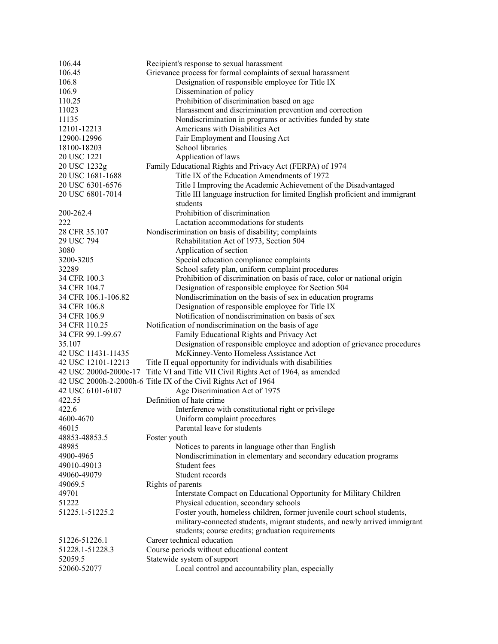| 106.44                | Recipient's response to sexual harassment                                   |
|-----------------------|-----------------------------------------------------------------------------|
| 106.45                | Grievance process for formal complaints of sexual harassment                |
| 106.8                 | Designation of responsible employee for Title IX                            |
| 106.9                 | Dissemination of policy                                                     |
| 110.25                | Prohibition of discrimination based on age                                  |
| 11023                 | Harassment and discrimination prevention and correction                     |
| 11135                 | Nondiscrimination in programs or activities funded by state                 |
| 12101-12213           | Americans with Disabilities Act                                             |
| 12900-12996           | Fair Employment and Housing Act                                             |
| 18100-18203           | School libraries                                                            |
| 20 USC 1221           | Application of laws                                                         |
| 20 USC 1232g          | Family Educational Rights and Privacy Act (FERPA) of 1974                   |
| 20 USC 1681-1688      | Title IX of the Education Amendments of 1972                                |
| 20 USC 6301-6576      | Title I Improving the Academic Achievement of the Disadvantaged             |
| 20 USC 6801-7014      | Title III language instruction for limited English proficient and immigrant |
|                       | students                                                                    |
| 200-262.4             | Prohibition of discrimination                                               |
| 222                   | Lactation accommodations for students                                       |
| 28 CFR 35.107         | Nondiscrimination on basis of disability; complaints                        |
| 29 USC 794            | Rehabilitation Act of 1973, Section 504                                     |
| 3080                  | Application of section                                                      |
| 3200-3205             | Special education compliance complaints                                     |
| 32289                 | School safety plan, uniform complaint procedures                            |
| 34 CFR 100.3          | Prohibition of discrimination on basis of race, color or national origin    |
| 34 CFR 104.7          | Designation of responsible employee for Section 504                         |
| 34 CFR 106.1-106.82   | Nondiscrimination on the basis of sex in education programs                 |
| 34 CFR 106.8          | Designation of responsible employee for Title IX                            |
| 34 CFR 106.9          | Notification of nondiscrimination on basis of sex                           |
| 34 CFR 110.25         | Notification of nondiscrimination on the basis of age                       |
| 34 CFR 99.1-99.67     | Family Educational Rights and Privacy Act                                   |
| 35.107                | Designation of responsible employee and adoption of grievance procedures    |
| 42 USC 11431-11435    | McKinney-Vento Homeless Assistance Act                                      |
| 42 USC 12101-12213    | Title II equal opportunity for individuals with disabilities                |
| 42 USC 2000d-2000e-17 | Title VI and Title VII Civil Rights Act of 1964, as amended                 |
|                       | 42 USC 2000h-2-2000h-6 Title IX of the Civil Rights Act of 1964             |
| 42 USC 6101-6107      | Age Discrimination Act of 1975                                              |
| 422.55                | Definition of hate crime                                                    |
| 422.6                 | Interference with constitutional right or privilege                         |
| 4600-4670             | Uniform complaint procedures                                                |
| 46015                 | Parental leave for students                                                 |
| 48853-48853.5         | Foster youth                                                                |
| 48985                 | Notices to parents in language other than English                           |
| 4900-4965             | Nondiscrimination in elementary and secondary education programs            |
| 49010-49013           | Student fees                                                                |
| 49060-49079           | Student records                                                             |
| 49069.5               | Rights of parents                                                           |
| 49701                 | Interstate Compact on Educational Opportunity for Military Children         |
| 51222                 | Physical education, secondary schools                                       |
| 51225.1-51225.2       | Foster youth, homeless children, former juvenile court school students,     |
|                       | military-connected students, migrant students, and newly arrived immigrant  |
|                       | students; course credits; graduation requirements                           |
| 51226-51226.1         | Career technical education                                                  |
| 51228.1-51228.3       | Course periods without educational content                                  |
| 52059.5               | Statewide system of support                                                 |
| 52060-52077           | Local control and accountability plan, especially                           |
|                       |                                                                             |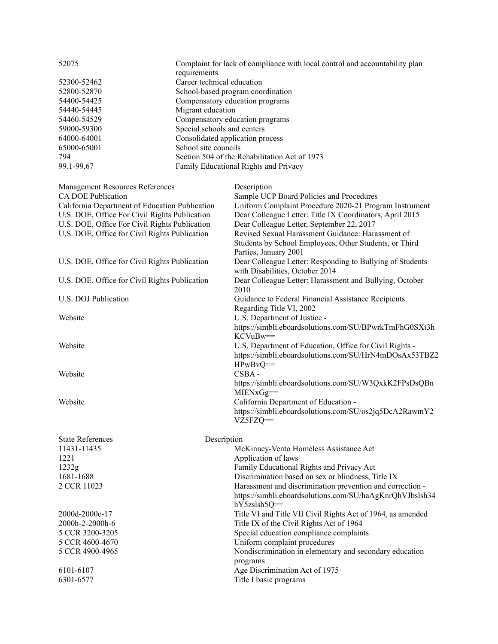| 52075       | Complaint for lack of compliance with local control and accountability plan<br>requirements |
|-------------|---------------------------------------------------------------------------------------------|
| 52300-52462 | Career technical education                                                                  |
| 52800-52870 | School-based program coordination                                                           |
| 54400-54425 | Compensatory education programs                                                             |
| 54440-54445 | Migrant education                                                                           |
| 54460-54529 | Compensatory education programs                                                             |
| 59000-59300 | Special schools and centers                                                                 |
| 64000-64001 | Consolidated application process                                                            |
| 65000-65001 | School site councils                                                                        |
| 794         | Section 504 of the Rehabilitation Act of 1973                                               |
| 99.1-99.67  | <b>Family Educational Rights and Privacy</b>                                                |

| <b>Management Resources References</b><br>Description                                                      |  |
|------------------------------------------------------------------------------------------------------------|--|
| <b>CA DOE Publication</b><br>Sample UCP Board Policies and Procedures                                      |  |
| California Department of Education Publication<br>Uniform Complaint Procedure 2020-21 Program Instrument   |  |
| U.S. DOE, Office For Civil Rights Publication<br>Dear Colleague Letter: Title IX Coordinators, April 2015  |  |
| U.S. DOE, Office For Civil Rights Publication<br>Dear Colleague Letter, September 22, 2017                 |  |
| U.S. DOE, Office for Civil Rights Publication<br>Revised Sexual Harassment Guidance: Harassment of         |  |
| Students by School Employees, Other Students, or Third                                                     |  |
| Parties, January 2001                                                                                      |  |
| Dear Colleague Letter: Responding to Bullying of Students<br>U.S. DOE, Office for Civil Rights Publication |  |
| with Disabilities, October 2014                                                                            |  |
| Dear Colleague Letter: Harassment and Bullying, October<br>U.S. DOE, Office for Civil Rights Publication   |  |
| 2010                                                                                                       |  |
| U.S. DOJ Publication<br>Guidance to Federal Financial Assistance Recipients                                |  |
| Regarding Title VI, 2002                                                                                   |  |
| Website<br>U.S. Department of Justice -                                                                    |  |
| https://simbli.eboardsolutions.com/SU/BPwrkTmFhG0SXt3h                                                     |  |
| KCVuBw==                                                                                                   |  |
| Website<br>U.S. Department of Education, Office for Civil Rights -                                         |  |
| https://simbli.eboardsolutions.com/SU/HrN4mDOsAx53TBZ2                                                     |  |
| $HPwBvQ ==$                                                                                                |  |
| CSBA-<br>Website                                                                                           |  |
| https://simbli.eboardsolutions.com/SU/W3QxkK2FPsDsQBn                                                      |  |
| $MIENxGg==$                                                                                                |  |
| Website<br>California Department of Education -                                                            |  |
| https://simbli.eboardsolutions.com/SU/os2jq5DcA2RawmY2                                                     |  |
| $VZ5FZQ =$                                                                                                 |  |
|                                                                                                            |  |
| <b>State References</b><br>Description                                                                     |  |
| 11431-11435<br>McKinney-Vento Homeless Assistance Act                                                      |  |
| 1221<br>Application of laws                                                                                |  |
| Family Educational Rights and Privacy Act<br>1232g                                                         |  |
| 1681-1688<br>Discrimination based on sex or blindness, Title IX                                            |  |
| 2 CCR 11023<br>Harassment and discrimination prevention and correction -                                   |  |
| https://simbli.eboardsolutions.com/SU/haAgKnrQhVJbslsh34                                                   |  |
| hY5zslsh5Q==                                                                                               |  |
| Title VI and Title VII Civil Rights Act of 1964, as amended<br>2000d-2000e-17                              |  |
| Title IX of the Civil Rights Act of 1964<br>2000h-2-2000h-6                                                |  |
| Special education compliance complaints<br>5 CCR 3200-3205                                                 |  |
| Uniform complaint procedures<br>5 CCR 4600-4670                                                            |  |
| Nondiscrimination in elementary and secondary education<br>5 CCR 4900-4965                                 |  |
| programs                                                                                                   |  |
| Age Discrimination Act of 1975<br>6101-6107                                                                |  |
| Title I basic programs<br>6301-6577                                                                        |  |